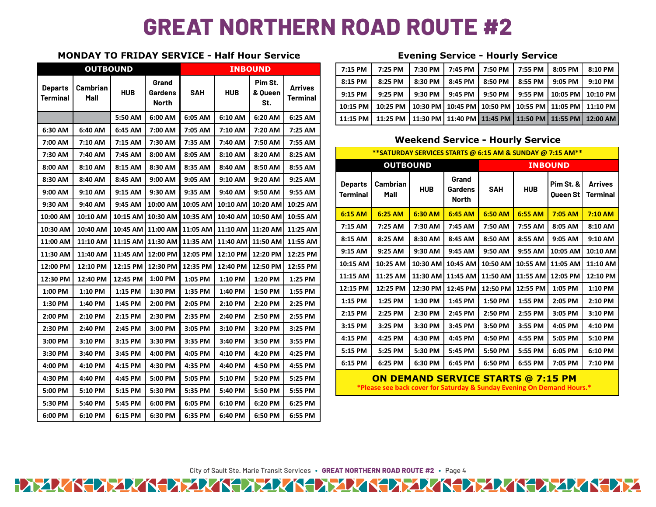## **GREAT NORTHERN ROAD ROUTE #2**

## **MONDAY TO FRIDAY SERVICE - Half Hour Service Evening Service - Hourly Service**

|                                   | <b>OUTBOUND</b>  |            |                | <b>INBOUND</b> |                                                      |                |                                   |                                                                        | 7:15 PM                                                   | 7:25 PM                                   | 7:30 PM    | 7:45 PM                                 | 7:50 PM                                   | 7:55 PM           | 8:05 PM                      | 8:10 PM                           |  |  |
|-----------------------------------|------------------|------------|----------------|----------------|------------------------------------------------------|----------------|-----------------------------------|------------------------------------------------------------------------|-----------------------------------------------------------|-------------------------------------------|------------|-----------------------------------------|-------------------------------------------|-------------------|------------------------------|-----------------------------------|--|--|
|                                   |                  |            | Grand          |                |                                                      | Pim St.        |                                   |                                                                        | 8:15 PM                                                   | 8:25 PM                                   | 8:30 PM    | 8:45 PM                                 | 8:50 PM                                   | 8:55 PM           | 9:05 PM                      | 9:10 PM                           |  |  |
| <b>Departs</b><br><b>Terminal</b> | Cambrian<br>Mall | <b>HUB</b> | <b>Gardens</b> | <b>SAH</b>     | <b>HUB</b>                                           | & Oueen<br>St. | <b>Arrives</b><br><b>Terminal</b> |                                                                        | 9:15 PM                                                   | 9:25 PM                                   | 9:30 PM    | 9:45 PM                                 | 9:50 PM                                   | 9:55 PM           | 10:05 PM                     | 10:10 PM                          |  |  |
|                                   |                  |            | North          |                |                                                      |                |                                   |                                                                        | 10:15 PM                                                  | 10:25 PM                                  | 10:30 PM   | 10:45 PM                                | 10:50 PM                                  | 10:55 PM          | 11:05 PM                     | 11:10 PM                          |  |  |
|                                   |                  | 5:50 AM    | 6:00 AM        | 6:05 AM        | 6:10 AM                                              | 6:20 AM        | 6:25 AM                           |                                                                        | 11:15 PM                                                  | 11:25 PM                                  | 11:30 PM   |                                         | 11:40 PM   11:45 PM   11:50 PM   11:55 PM |                   |                              | 12:00 AM                          |  |  |
| 6:30 AM                           | 6:40 AM          | 6:45 AM    | 7:00 AM        | 7:05 AM        | 7:10 AM                                              | 7:20 AM        | 7:25 AM                           |                                                                        |                                                           |                                           |            |                                         |                                           |                   |                              |                                   |  |  |
| 7:00 AM                           | 7:10 AM          | 7:15 AM    | 7:30 AM        | 7:35 AM        | 7:40 AM                                              | 7:50 AM        | 7:55 AM                           |                                                                        | <b>Weekend Service - Hourly Service</b>                   |                                           |            |                                         |                                           |                   |                              |                                   |  |  |
| 7:30 AM                           | 7:40 AM          | 7:45 AM    | 8:00 AM        | 8:05 AM        | 8:10 AM                                              | 8:20 AM        | 8:25 AM                           |                                                                        | **SATURDAY SERVICES STARTS @ 6:15 AM & SUNDAY @ 7:15 AM** |                                           |            |                                         |                                           |                   |                              |                                   |  |  |
| 8:00 AM                           | 8:10 AM          | 8:15 AM    | 8:30 AM        | 8:35 AM        | 8:40 AM                                              | 8:50 AM        | 8:55 AM                           |                                                                        |                                                           | <b>OUTBOUND</b>                           |            |                                         |                                           |                   | <b>INBOUND</b>               |                                   |  |  |
| 8:30 AM                           | 8:40 AM          | 8:45 AM    | 9:00 AM        | 9:05 AM        | 9:10 AM                                              | 9:20 AM        | 9:25 AM                           |                                                                        | <b>Departs</b>                                            | Cambrian<br>Mall                          | <b>HUB</b> | Grand<br><b>Gardens</b><br><b>North</b> | <b>SAH</b>                                | <b>HUB</b>        | Pim St. &<br><b>Queen St</b> | <b>Arrives</b><br><b>Terminal</b> |  |  |
| 9:00 AM                           | 9:10 AM          | 9:15 AM    | 9:30 AM        | 9:35 AM        | 9:40 AM                                              | 9:50 AM        | 9:55 AM                           |                                                                        | <b>Terminal</b>                                           |                                           |            |                                         |                                           |                   |                              |                                   |  |  |
| 9:30 AM                           | 9:40 AM          | 9:45 AM    | 10:00 AM       | 10:05 AM       | 10:10 AM                                             | 10:20 AM       | 10:25 AM                          |                                                                        |                                                           |                                           |            |                                         |                                           |                   |                              |                                   |  |  |
| 10:00 AM                          | 10:10 AM         | 10:15 AM   | 10:30 AM       | 10:35 AM       | 10:40 AM                                             | 10:50 AM       | 10:55 AM                          |                                                                        | $6:15$ AM                                                 | 6:25 AM                                   | 6:30 AM    | 6:45 AM                                 | 6:50 AM                                   | 6:55 AM           | 7:05 AM                      | 7:10 AM                           |  |  |
| 10:30 AM                          | 10:40 AM         |            |                |                | 10:45 AM   11:00 AM   11:05 AM   11:10 AM   11:20 AM |                | 11:25 AM                          |                                                                        | 7:15 AM                                                   | 7:25 AM                                   | 7:30 AM    | 7:45 AM                                 | 7:50 AM                                   | 7:55 AM           | 8:05 AM                      | 8:10 AM                           |  |  |
| 11:00 AM                          | 11:10 AM         | 11:15 AM   |                |                | 11:30 AM 11:35 AM 11:40 AM 11:50 AM                  |                | 11:55 AM                          |                                                                        | 8:15 AM                                                   | 8:25 AM                                   | 8:30 AM    | 8:45 AM                                 | 8:50 AM                                   | 8:55 AM           | 9:05 AM                      | 9:10 AM                           |  |  |
| 11:30 AM                          | 11:40 AM         | 11:45 AM   | 12:00 PM       | 12:05 PM       | 12:10 PM                                             | 12:20 PM       | 12:25 PM                          |                                                                        | 9:15 AM                                                   | 9:25 AM                                   | 9:30 AM    | 9:45 AM                                 | 9:50 AM                                   | 9:55 AM           | 10:05 AM                     | 10:10 AM                          |  |  |
| 12:00 PM                          | 12:10 PM         | 12:15 PM   | 12:30 PM       | 12:35 PM       | 12:40 PM                                             | 12:50 PM       | 12:55 PM                          |                                                                        | 10:15 AM                                                  | 10:25 AM                                  | 10:30 AM   | 10:45 AM                                | 10:50 AM                                  | 10:55 AM 11:05 AM |                              | 11:10 AM                          |  |  |
| 12:30 PM                          | 12:40 PM         | 12:45 PM   | 1:00 PM        | 1:05 PM        | 1:10 PM                                              | 1:20 PM        | 1:25 PM                           |                                                                        | 11:15 AM                                                  | 11:25 AM                                  | 11:30 AM   |                                         | 11:45 AM   11:50 AM   11:55 AM   12:05 PM |                   |                              | 12:10 PM                          |  |  |
| 1:00 PM                           | 1:10 PM          | 1:15 PM    | 1:30 PM        | 1:35 PM        | 1:40 PM                                              | 1:50 PM        | 1:55 PM                           |                                                                        | 12:15 PM                                                  | 12:25 PM                                  | 12:30 PM   | 12:45 PM                                | 12:50 PM                                  | 12:55 PM          | 1:05 PM                      | 1:10 PM                           |  |  |
| 1:30 PM                           | 1:40 PM          | 1:45 PM    | 2:00 PM        | 2:05 PM        | 2:10 PM                                              | 2:20 PM        | 2:25 PM                           |                                                                        | 1:15 PM                                                   | 1:25 PM                                   | 1:30 PM    | 1:45 PM                                 | 1:50 PM                                   | 1:55 PM           | 2:05 PM                      | 2:10 PM                           |  |  |
| 2:00 PM                           | 2:10 PM          | 2:15 PM    | 2:30 PM        | 2:35 PM        | 2:40 PM                                              | 2:50 PM        | 2:55 PM                           |                                                                        | 2:15 PM                                                   | 2:25 PM                                   | 2:30 PM    | 2:45 PM                                 | 2:50 PM                                   | 2:55 PM           | 3:05 PM                      | 3:10 PM                           |  |  |
| 2:30 PM                           | 2:40 PM          | 2:45 PM    | 3:00 PM        | 3:05 PM        | 3:10 PM                                              | 3:20 PM        | 3:25 PM                           |                                                                        | 3:15 PM                                                   | 3:25 PM                                   | 3:30 PM    | 3:45 PM                                 | 3:50 PM                                   | 3:55 PM           | 4:05 PM                      | 4:10 PM                           |  |  |
| 3:00 PM                           | 3:10 PM          | 3:15 PM    | 3:30 PM        | 3:35 PM        | 3:40 PM                                              | 3:50 PM        | 3:55 PM                           |                                                                        | 4:15 PM                                                   | 4:25 PM                                   | 4:30 PM    | 4:45 PM                                 | 4:50 PM                                   | 4:55 PM           | 5:05 PM                      | 5:10 PM                           |  |  |
| 3:30 PM                           | 3:40 PM          | 3:45 PM    | 4:00 PM        | 4:05 PM        | 4:10 PM                                              | 4:20 PM        | 4:25 PM                           |                                                                        | 5:15 PM                                                   | 5:25 PM                                   | 5:30 PM    | 5:45 PM                                 | 5:50 PM                                   | 5:55 PM           | 6:05 PM                      | 6:10 PM                           |  |  |
| 4:00 PM                           | 4:10 PM          | 4:15 PM    | 4:30 PM        | 4:35 PM        | 4:40 PM                                              | 4:50 PM        | 4:55 PM                           |                                                                        | 6:15 PM                                                   | 6:25 PM                                   | 6:30 PM    | 6:45 PM                                 | 6:50 PM                                   | 6:55 PM           | 7:05 PM                      | 7:10 PM                           |  |  |
| 4:30 PM                           | 4:40 PM          | 4:45 PM    | 5:00 PM        | 5:05 PM        | 5:10 PM                                              | 5:20 PM        | 5:25 PM                           |                                                                        |                                                           | <b>ON DEMAND SERVICE STARTS @ 7:15 PM</b> |            |                                         |                                           |                   |                              |                                   |  |  |
| 5:00 PM                           | 5:10 PM          | 5:15 PM    | 5:30 PM        | 5:35 PM        | 5:40 PM                                              | 5:50 PM        | 5:55 PM                           | *Please see back cover for Saturday & Sunday Evening On Demand Hours.* |                                                           |                                           |            |                                         |                                           |                   |                              |                                   |  |  |
| 5:30 PM                           | 5:40 PM          | 5:45 PM    | 6:00 PM        | 6:05 PM        | 6:10 PM                                              | 6:20 PM        | 6:25 PM                           |                                                                        |                                                           |                                           |            |                                         |                                           |                   |                              |                                   |  |  |
| 6:00 PM                           | 6:10 PM          | 6:15 PM    | 6:30 PM        | 6:35 PM        | 6:40 PM                                              | 6:50 PM        | 6:55 PM                           |                                                                        |                                                           |                                           |            |                                         |                                           |                   |                              |                                   |  |  |

| <b>OUTBOUND</b> |                              |         |         | <b>INBOUND</b> |            |                                                  |         | 7:15 PM  | 7:25 PM   | 7:30 PM | 7:45 PM           | 7:50 PM 1 7:55 PM | 8:05 PM | 8:10 PM                                                                    |
|-----------------|------------------------------|---------|---------|----------------|------------|--------------------------------------------------|---------|----------|-----------|---------|-------------------|-------------------|---------|----------------------------------------------------------------------------|
| Terminal        | Departs   Cambrian  <br>Mall | HUB     | Grand   |                | <b>HUB</b> | Pim St.<br>Arrives<br>& Oueen<br>Terminal<br>St. | 8:15 PM | 8:25 PM  | 8:30 PM   | 8:45 PM | 8:50 PM L 8:55 PM | 9:05 PM           | 9:10 PM |                                                                            |
|                 |                              |         | Gardens | <b>SAH</b>     |            |                                                  |         | 9:15 PM  | $9:25$ PM | 9:30 PM | 9:45 PM           |                   |         | 9:50 PM   9:55 PM   10:05 PM   10:10 PM                                    |
|                 |                              |         | North   |                |            |                                                  |         | 10:15 PM |           |         |                   |                   |         | 10:25 PM   10:30 PM   10:45 PM   10:50 PM   10:55 PM   11:05 PM   11:10 PM |
|                 |                              | 5:50 AM | 6:00 AM | 6:05 AM        | 6:10 AM    | 6:20 AM                                          | 6:25 AM | 11:15 PM |           |         |                   |                   |         | 11:25 PM   11:30 PM   11:40 PM   11:45 PM   11:50 PM   11:55 PM   12:00 AM |

## **Weekend Service - Hourly Service**

| 7:30 AM  | 7:40 AM   | 7:45 AM  | 8:00 AM                        | 8:05 AM                                              | 8:10 AM  | 8:20 AM             | 8:25 AM                                                         |  | **SATURDAY SERVICES STARTS @ 6:15 AM & SUNDAY @ 7:15 AM** |                                                                 |            |                           |                |                                    |                                                                 |                            |  |
|----------|-----------|----------|--------------------------------|------------------------------------------------------|----------|---------------------|-----------------------------------------------------------------|--|-----------------------------------------------------------|-----------------------------------------------------------------|------------|---------------------------|----------------|------------------------------------|-----------------------------------------------------------------|----------------------------|--|
| 8:00 AM  | 8:10 AM   | 8:15 AM  | 8:30 AM                        | 8:35 AM                                              | 8:40 AM  | 8:50 AM             | 8:55 AM                                                         |  |                                                           | <b>OUTBOUND</b>                                                 |            |                           | <b>INBOUND</b> |                                    |                                                                 |                            |  |
| 8:30 AM  | 8:40 AM   | 8:45 AM  | 9:00 AM                        | 9:05 AM                                              | 9:10 AM  | 9:20 AM             | 9:25 AM                                                         |  | <b>Departs</b>                                            | Cambrian<br>Mall                                                | <b>HUB</b> | Grand<br>Gardens<br>North | <b>SAH</b>     | <b>HUB</b>                         | Pim St. &<br>Queen St                                           | <b>Arrives</b><br>Terminal |  |
| 9:00 AM  | 9:10 AM   | 9:15 AM  | 9:30 AM                        | 9:35 AM                                              | 9:40 AM  | 9:50 AM             | 9:55 AM                                                         |  | <b>Terminal</b><br>6:15 AM                                |                                                                 |            |                           |                |                                    |                                                                 |                            |  |
| 9:30 AM  | 9:40 AM   | 9:45 AM  | 10:00 AM 10:05 AM              |                                                      |          | 10:10 AM   10:20 AM | 10:25 AM                                                        |  |                                                           |                                                                 |            |                           |                |                                    |                                                                 |                            |  |
| l0:00 AM | 10:10 AM  | 10:15 AM |                                | 10:30 AM   10:35 AM   10:40 AM   10:50 AM   10:55 AM |          |                     |                                                                 |  |                                                           | 6:25 AM                                                         | 6:30 AM    | 6:45 AM                   | 6:50 AM        | 6:55 AM                            | $7:05$ AM                                                       | $7:10$ AM                  |  |
| LO:30 AM | 10:40 AM  |          |                                |                                                      |          |                     | 10:45 AM   11:00 AM   11:05 AM   11:10 AM   11:20 AM   11:25 AM |  | 7:15 AM                                                   | 7:25 AM                                                         | 7:30 AM    | 7:45 AM                   | 7:50 AM        | 7:55 AM                            | 8:05 AM                                                         | 8:10 AM                    |  |
| L1:00 AM | 11:10 AM  |          |                                |                                                      |          |                     | 11:15 AM 11:30 AM 11:35 AM 11:40 AM 11:50 AM 11:55 AM           |  | 8:15 AM                                                   | 8:25 AM                                                         | 8:30 AM    | 8:45 AM                   | 8:50 AM        | 8:55 AM                            | 9:05 AM                                                         | 9:10 AM                    |  |
| L1:30 AM | 11:40 AM  |          |                                | 11:45 AM   12:00 PM   12:05 PM   12:10 PM            |          | 12:20 PM   12:25 PM |                                                                 |  | 9:15 AM                                                   | 9:25 AM                                                         | 9:30 AM    | 9:45 AM                   | 9:50 AM        | 9:55 AM                            | 10:05 AM   10:10 AM                                             |                            |  |
| L2:00 PM | 12:10 PM  |          | 12:15 PM   12:30 PM   12:35 PM |                                                      | 12:40 PM | $ 12:50$ PM         | 12:55 PM                                                        |  | 10:15 AM                                                  | 10:25 AM                                                        |            |                           |                |                                    | 10:30 AM   10:45 AM   10:50 AM   10:55 AM   11:05 AM   11:10 AM |                            |  |
| L2:30 PM | 12:40 PM  | 12:45 PM | 1:00 PM                        | 1:05 PM                                              | 1:10 PM  | 1:20 PM             | 1:25 PM                                                         |  | 11:15 AM                                                  | 11:25 AM   11:30 AM   11:45 AM   11:50 AM   11:55 AM   12:05 PM |            |                           |                |                                    |                                                                 | 12:10 PM                   |  |
| 1:00 PM  | $1:10$ PM | 1:15 PM  | 1:30 PM                        | 1:35 PM                                              | 1:40 PM  | 1:50 PM             | 1:55 PM                                                         |  | 12:15 PM                                                  | 12:25 PM                                                        | 12:30 PM   |                           |                | 12:45 PM 12:50 PM 12:55 PM 1:05 PM |                                                                 | 1:10 PM                    |  |
| 1:30 PM  | 1:40 PM   | 1:45 PM  | 2:00 PM                        | 2:05 PM                                              | 2:10 PM  | 2:20 PM             | 2:25 PM                                                         |  | 1:15 PM                                                   | 1:25 PM                                                         | 1:30 PM    | 1:45 PM                   | 1:50 PM        | 1:55 PM                            | 2:05 PM                                                         | 2:10 PM                    |  |
| 2:00 PM  | 2:10 PM   | 2:15 PM  | 2:30 PM                        | 2:35 PM                                              | 2:40 PM  | 2:50 PM             | 2:55 PM                                                         |  | 2:15 PM                                                   | 2:25 PM                                                         | 2:30 PM    | 2:45 PM                   | 2:50 PM        | 2:55 PM                            | 3:05 PM                                                         | 3:10 PM                    |  |
| 2:30 PM  | 2:40 PM   | 2:45 PM  | 3:00 PM                        | 3:05 PM                                              | 3:10 PM  | 3:20 PM             | 3:25 PM                                                         |  | 3:15 PM                                                   | 3:25 PM                                                         | 3:30 PM    | 3:45 PM                   | 3:50 PM        | 3:55 PM                            | 4:05 PM                                                         | 4:10 PM                    |  |
| 3:00 PM  | 3:10 PM   | 3:15 PM  | 3:30 PM                        | 3:35 PM                                              | 3:40 PM  | 3:50 PM             | 3:55 PM                                                         |  | 4:15 PM                                                   | 4:25 PM                                                         | 4:30 PM    | 4:45 PM                   | 4:50 PM        | 4:55 PM                            | 5:05 PM                                                         | 5:10 PM                    |  |
| 3:30 PM  | 3:40 PM   | 3:45 PM  | 4:00 PM                        | 4:05 PM                                              | 4:10 PM  | 4:20 PM             | 4:25 PM                                                         |  | 5:15 PM                                                   | 5:25 PM                                                         | 5:30 PM    | 5:45 PM                   | 5:50 PM        | 5:55 PM                            | 6:05 PM                                                         | 6:10 PM                    |  |
| 4:00 PM  | 4:10 PM   | 4:15 PM  | 4:30 PM                        | 4:35 PM                                              | 4:40 PM  | 4:50 PM             | 4:55 PM                                                         |  | 6:15 PM                                                   | 6:25 PM                                                         | 6:30 PM    | 6:45 PM                   | 6:50 PM        | 6:55 PM                            | 7:05 PM                                                         | 7:10 PM                    |  |
|          |           |          |                                |                                                      |          |                     |                                                                 |  |                                                           |                                                                 |            |                           |                |                                    |                                                                 |                            |  |

City of Sault Ste. Marie Transit Services **∙ GREAT NORTHERN ROAD ROUTE #2 ∙** Page 4 HAZAZKEA ZAZKEA ZAZKEA ZAZKEA ZAZKEA ZAZKEA ZAZKEA Z